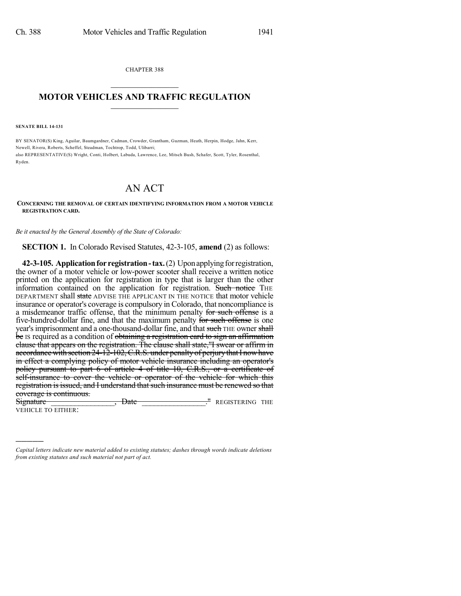CHAPTER 388

## $\mathcal{L}_\text{max}$  . The set of the set of the set of the set of the set of the set of the set of the set of the set of the set of the set of the set of the set of the set of the set of the set of the set of the set of the set **MOTOR VEHICLES AND TRAFFIC REGULATION**  $\_$   $\_$   $\_$   $\_$   $\_$   $\_$   $\_$   $\_$   $\_$   $\_$

**SENATE BILL 14-131**

)))))

BY SENATOR(S) King, Aguilar, Baumgardner, Cadman, Crowder, Grantham, Guzman, Heath, Herpin, Hodge, Jahn, Kerr, Newell, Rivera, Roberts, Scheffel, Steadman, Tochtrop, Todd, Ulibarri; also REPRESENTATIVE(S) Wright, Conti, Holbert, Labuda, Lawrence, Lee, Mitsch Bush, Schafer, Scott, Tyler, Rosenthal, Ryden.

## AN ACT

## **CONCERNING THE REMOVAL OF CERTAIN IDENTIFYING INFORMATION FROM A MOTOR VEHICLE REGISTRATION CARD.**

*Be it enacted by the General Assembly of the State of Colorado:*

**SECTION 1.** In Colorado Revised Statutes, 42-3-105, **amend** (2) as follows:

**42-3-105. Application for registration - tax.** (2) Upon applying for registration, the owner of a motor vehicle or low-power scooter shall receive a written notice printed on the application for registration in type that is larger than the other information contained on the application for registration. Such notice THE DEPARTMENT shall state ADVISE THE APPLICANT IN THE NOTICE that motor vehicle insurance or operator's coverage is compulsory in Colorado, that noncompliance is a misdemeanor traffic offense, that the minimum penalty for such offense is a five-hundred-dollar fine, and that the maximum penalty for such offense is one year's imprisonment and a one-thousand-dollar fine, and that such THE owner shall be Is required as a condition of obtaining a registration card to sign an affirmation clause that appears on the registration. The clause shall state,"I swear or affirm in accordance with section  $24 - 12 - 102$ , C.R.S. under penalty of perjury that I now have in effect a complying policy of motor vehicle insurance including an operator's policy pursuant to part 6 of article 4 of title 10, C.R.S., or a certificate of self-insurance to cover the vehicle or operator of the vehicle for which this registration is issued, and I understand that such insurance must be renewed so that coverage is continuous.

Signature \_\_\_\_\_\_\_\_\_\_\_\_\_\_\_\_, Date \_\_\_\_\_\_\_\_\_\_\_\_\_\_\_\_." REGISTERING THE VEHICLE TO EITHER:

*Capital letters indicate new material added to existing statutes; dashes through words indicate deletions from existing statutes and such material not part of act.*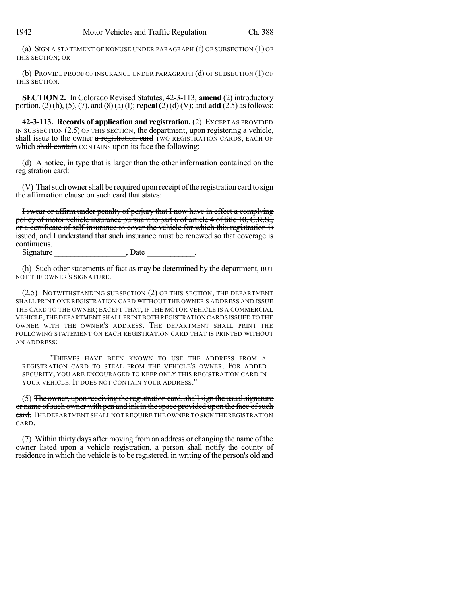(a) SIGN A STATEMENT OF NONUSE UNDER PARAGRAPH (f) OF SUBSECTION (1) OF THIS SECTION; OR

(b) PROVIDE PROOF OF INSURANCE UNDER PARAGRAPH (d) OF SUBSECTION (1) OF THIS SECTION.

**SECTION 2.** In Colorado Revised Statutes, 42-3-113, **amend** (2) introductory portion, (2) (h), (5), (7), and (8) (a)(I); **repeal** (2) (d) (V); and **add** (2.5) asfollows:

**42-3-113. Records of application and registration.** (2) EXCEPT AS PROVIDED IN SUBSECTION (2.5) OF THIS SECTION, the department, upon registering a vehicle, shall issue to the owner a registration card TWO REGISTRATION CARDS, EACH OF which shall contain CONTAINS upon its face the following:

(d) A notice, in type that is larger than the other information contained on the registration card:

(V) That such owner shall be required upon receipt of the registration card to sign the affirmation clause on such card that states:

I swear or affirm under penalty of perjury that I now have in effect a complying policy of motor vehicle insurance pursuant to part 6 of article 4 of title 10, C.R.S., or a certificate of self-insurance to cover the vehicle for which this registration is issued, and I understand that such insurance must be renewed so that coverage is continuous.<br>Signature

 $,$  Date  $\qquad \qquad$ 

(h) Such other statements of fact as may be determined by the department, BUT NOT THE OWNER'S SIGNATURE.

(2.5) NOTWITHSTANDING SUBSECTION (2) OF THIS SECTION, THE DEPARTMENT SHALL PRINT ONE REGISTRATION CARD WITHOUT THE OWNER'S ADDRESS AND ISSUE THE CARD TO THE OWNER; EXCEPT THAT, IF THE MOTOR VEHICLE IS A COMMERCIAL VEHICLE,THE DEPARTMENT SHALL PRINT BOTH REGISTRATION CARDS ISSUED TO THE OWNER WITH THE OWNER'S ADDRESS. THE DEPARTMENT SHALL PRINT THE FOLLOWING STATEMENT ON EACH REGISTRATION CARD THAT IS PRINTED WITHOUT AN ADDRESS:

"THIEVES HAVE BEEN KNOWN TO USE THE ADDRESS FROM A REGISTRATION CARD TO STEAL FROM THE VEHICLE'S OWNER. FOR ADDED SECURITY, YOU ARE ENCOURAGED TO KEEP ONLY THIS REGISTRATION CARD IN YOUR VEHICLE. IT DOES NOT CONTAIN YOUR ADDRESS."

 $(5)$  The owner, upon receiving the registration card, shall sign the usual signature or name ofsuch owner with pen and ink in the space provided upon the face ofsuch card. The DEPARTMENT SHALL NOT REQUIRE THE OWNER TO SIGN THE REGISTRATION CARD.

(7) Within thirty days after moving from an address or changing the name of the owner listed upon a vehicle registration, a person shall notify the county of residence in which the vehicle is to be registered. in writing of the person's old and